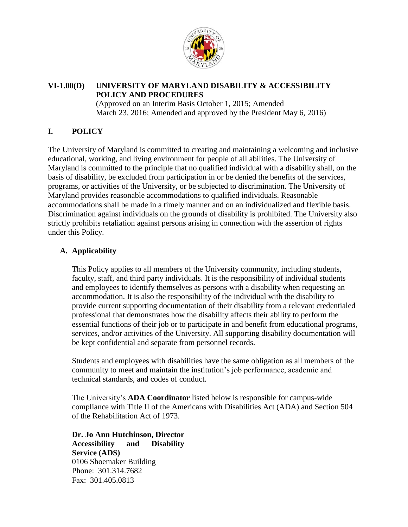

## **VI-1.00(D) UNIVERSITY OF MARYLAND DISABILITY & ACCESSIBILITY POLICY AND PROCEDURES**

(Approved on an Interim Basis October 1, 2015; Amended March 23, 2016; Amended and approved by the President May 6, 2016)

# **I. POLICY**

The University of Maryland is committed to creating and maintaining a welcoming and inclusive educational, working, and living environment for people of all abilities. The University of Maryland is committed to the principle that no qualified individual with a disability shall, on the basis of disability, be excluded from participation in or be denied the benefits of the services, programs, or activities of the University, or be subjected to discrimination. The University of Maryland provides reasonable accommodations to qualified individuals. Reasonable accommodations shall be made in a timely manner and on an individualized and flexible basis. Discrimination against individuals on the grounds of disability is prohibited. The University also strictly prohibits retaliation against persons arising in connection with the assertion of rights under this Policy.

# **A. Applicability**

This Policy applies to all members of the University community, including students, faculty, staff, and third party individuals. It is the responsibility of individual students and employees to identify themselves as persons with a disability when requesting an accommodation. It is also the responsibility of the individual with the disability to provide current supporting documentation of their disability from a relevant credentialed professional that demonstrates how the disability affects their ability to perform the essential functions of their job or to participate in and benefit from educational programs, services, and/or activities of the University. All supporting disability documentation will be kept confidential and separate from personnel records.

Students and employees with disabilities have the same obligation as all members of the community to meet and maintain the institution's job performance, academic and technical standards, and codes of conduct.

The University's **ADA Coordinator** listed below is responsible for campus-wide compliance with Title II of the Americans with Disabilities Act (ADA) and Section 504 of the Rehabilitation Act of 1973.

**Dr. Jo Ann Hutchinson, Director Accessibility and Disability Service (ADS)**  0106 Shoemaker Building Phone: 301.314.7682 Fax: 301.405.0813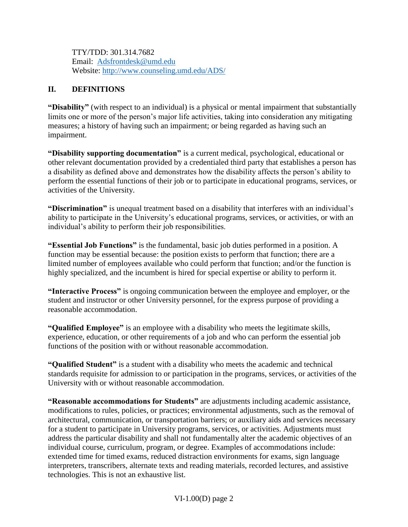TTY/TDD: 301.314.7682 Email: [Adsfrontdesk@umd.edu](mailto:Dissup@umd.edu) Website: [http://www.counseling.umd.edu/ADS/](http://www.counseling.umd.edu/dss/)

## **II. DEFINITIONS**

**"Disability"** (with respect to an individual) is a physical or mental impairment that substantially limits one or more of the person's major life activities, taking into consideration any mitigating measures; a history of having such an impairment; or being regarded as having such an impairment.

**"Disability supporting documentation"** is a current medical, psychological, educational or other relevant documentation provided by a credentialed third party that establishes a person has a disability as defined above and demonstrates how the disability affects the person's ability to perform the essential functions of their job or to participate in educational programs, services, or activities of the University.

**"Discrimination"** is unequal treatment based on a disability that interferes with an individual's ability to participate in the University's educational programs, services, or activities, or with an individual's ability to perform their job responsibilities.

**"Essential Job Functions"** is the fundamental, basic job duties performed in a position. A function may be essential because: the position exists to perform that function; there are a limited number of employees available who could perform that function; and/or the function is highly specialized, and the incumbent is hired for special expertise or ability to perform it.

**"Interactive Process"** is ongoing communication between the employee and employer, or the student and instructor or other University personnel, for the express purpose of providing a reasonable accommodation.

**"Qualified Employee"** is an employee with a disability who meets the legitimate skills, experience, education, or other requirements of a job and who can perform the essential job functions of the position with or without reasonable accommodation.

**"Qualified Student"** is a student with a disability who meets the academic and technical standards requisite for admission to or participation in the programs, services, or activities of the University with or without reasonable accommodation.

**"Reasonable accommodations for Students"** are adjustments including academic assistance, modifications to rules, policies, or practices; environmental adjustments, such as the removal of architectural, communication, or transportation barriers; or auxiliary aids and services necessary for a student to participate in University programs, services, or activities. Adjustments must address the particular disability and shall not fundamentally alter the academic objectives of an individual course, curriculum, program, or degree. Examples of accommodations include: extended time for timed exams, reduced distraction environments for exams, sign language interpreters, transcribers, alternate texts and reading materials, recorded lectures, and assistive technologies. This is not an exhaustive list.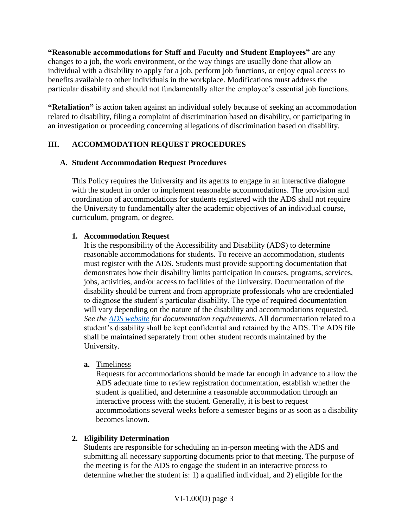**"Reasonable accommodations for Staff and Faculty and Student Employees"** are any changes to a job, the work environment, or the way things are usually done that allow an individual with a disability to apply for a job, perform job functions, or enjoy equal access to benefits available to other individuals in the workplace. Modifications must address the particular disability and should not fundamentally alter the employee's essential job functions.

**"Retaliation"** is action taken against an individual solely because of seeking an accommodation related to disability, filing a complaint of discrimination based on disability, or participating in an investigation or proceeding concerning allegations of discrimination based on disability.

# **III. ACCOMMODATION REQUEST PROCEDURES**

## **A. Student Accommodation Request Procedures**

This Policy requires the University and its agents to engage in an interactive dialogue with the student in order to implement reasonable accommodations. The provision and coordination of accommodations for students registered with the ADS shall not require the University to fundamentally alter the academic objectives of an individual course, curriculum, program, or degree.

## **1. Accommodation Request**

It is the responsibility of the Accessibility and Disability (ADS) to determine reasonable accommodations for students. To receive an accommodation, students must register with the ADS. Students must provide supporting documentation that demonstrates how their disability limits participation in courses, programs, services, jobs, activities, and/or access to facilities of the University. Documentation of the disability should be current and from appropriate professionals who are credentialed to diagnose the student's particular disability. The type of required documentation will vary depending on the nature of the disability and accommodations requested. *See the ADS [website](http://www.counseling.umd.edu/dss/forms/) for documentation requirements*. All documentation related to a student's disability shall be kept confidential and retained by the ADS. The ADS file shall be maintained separately from other student records maintained by the University.

### **a.** Timeliness

Requests for accommodations should be made far enough in advance to allow the ADS adequate time to review registration documentation, establish whether the student is qualified, and determine a reasonable accommodation through an interactive process with the student. Generally, it is best to request accommodations several weeks before a semester begins or as soon as a disability becomes known.

# **2. Eligibility Determination**

Students are responsible for scheduling an in-person meeting with the ADS and submitting all necessary supporting documents prior to that meeting. The purpose of the meeting is for the ADS to engage the student in an interactive process to determine whether the student is: 1) a qualified individual, and 2) eligible for the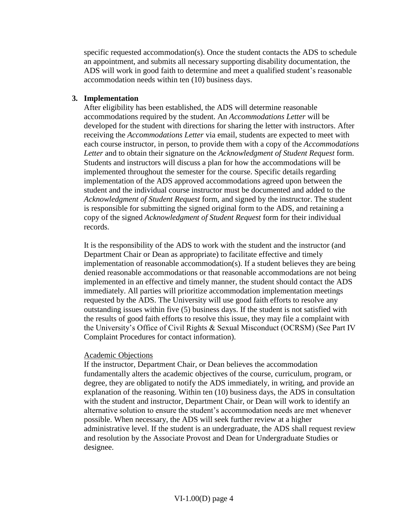specific requested accommodation(s). Once the student contacts the ADS to schedule an appointment, and submits all necessary supporting disability documentation, the ADS will work in good faith to determine and meet a qualified student's reasonable accommodation needs within ten (10) business days.

#### **3. Implementation**

After eligibility has been established, the ADS will determine reasonable accommodations required by the student. An *Accommodations Letter* will be developed for the student with directions for sharing the letter with instructors. After receiving the *Accommodations Letter* via email, students are expected to meet with each course instructor, in person, to provide them with a copy of the *Accommodations Letter* and to obtain their signature on the *Acknowledgment of Student Request* form. Students and instructors will discuss a plan for how the accommodations will be implemented throughout the semester for the course. Specific details regarding implementation of the ADS approved accommodations agreed upon between the student and the individual course instructor must be documented and added to the *Acknowledgment of Student Request* form, and signed by the instructor. The student is responsible for submitting the signed original form to the ADS, and retaining a copy of the signed *Acknowledgment of Student Request* form for their individual records.

It is the responsibility of the ADS to work with the student and the instructor (and Department Chair or Dean as appropriate) to facilitate effective and timely implementation of reasonable accommodation(s). If a student believes they are being denied reasonable accommodations or that reasonable accommodations are not being implemented in an effective and timely manner, the student should contact the ADS immediately. All parties will prioritize accommodation implementation meetings requested by the ADS. The University will use good faith efforts to resolve any outstanding issues within five (5) business days. If the student is not satisfied with the results of good faith efforts to resolve this issue, they may file a complaint with the University's Office of Civil Rights & Sexual Misconduct (OCRSM) (See Part IV Complaint Procedures for contact information).

#### Academic Objections

If the instructor, Department Chair, or Dean believes the accommodation fundamentally alters the academic objectives of the course, curriculum, program, or degree, they are obligated to notify the ADS immediately, in writing, and provide an explanation of the reasoning. Within ten (10) business days, the ADS in consultation with the student and instructor, Department Chair, or Dean will work to identify an alternative solution to ensure the student's accommodation needs are met whenever possible. When necessary, the ADS will seek further review at a higher administrative level. If the student is an undergraduate, the ADS shall request review and resolution by the Associate Provost and Dean for Undergraduate Studies or designee.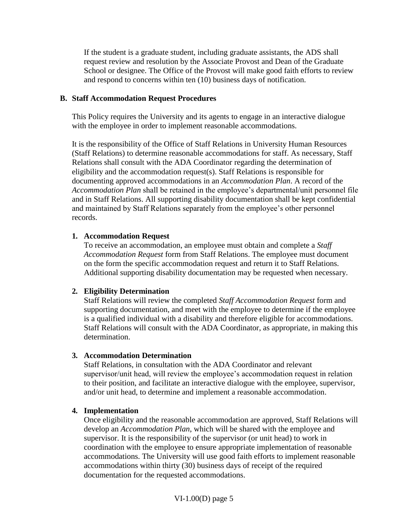If the student is a graduate student, including graduate assistants, the ADS shall request review and resolution by the Associate Provost and Dean of the Graduate School or designee. The Office of the Provost will make good faith efforts to review and respond to concerns within ten (10) business days of notification.

#### **B. Staff Accommodation Request Procedures**

This Policy requires the University and its agents to engage in an interactive dialogue with the employee in order to implement reasonable accommodations.

It is the responsibility of the Office of Staff Relations in University Human Resources (Staff Relations) to determine reasonable accommodations for staff. As necessary, Staff Relations shall consult with the ADA Coordinator regarding the determination of eligibility and the accommodation request(s). Staff Relations is responsible for documenting approved accommodations in an *Accommodation Plan*. A record of the *Accommodation Plan* shall be retained in the employee's departmental/unit personnel file and in Staff Relations. All supporting disability documentation shall be kept confidential and maintained by Staff Relations separately from the employee's other personnel records.

#### **1. Accommodation Request**

To receive an accommodation, an employee must obtain and complete a *Staff Accommodation Request* form from Staff Relations. The employee must document on the form the specific accommodation request and return it to Staff Relations. Additional supporting disability documentation may be requested when necessary.

### **2. Eligibility Determination**

Staff Relations will review the completed *Staff Accommodation Request* form and supporting documentation, and meet with the employee to determine if the employee is a qualified individual with a disability and therefore eligible for accommodations. Staff Relations will consult with the ADA Coordinator, as appropriate, in making this determination.

#### **3. Accommodation Determination**

Staff Relations, in consultation with the ADA Coordinator and relevant supervisor/unit head, will review the employee's accommodation request in relation to their position, and facilitate an interactive dialogue with the employee, supervisor, and/or unit head, to determine and implement a reasonable accommodation.

### **4. Implementation**

Once eligibility and the reasonable accommodation are approved, Staff Relations will develop an *Accommodation Plan*, which will be shared with the employee and supervisor. It is the responsibility of the supervisor (or unit head) to work in coordination with the employee to ensure appropriate implementation of reasonable accommodations. The University will use good faith efforts to implement reasonable accommodations within thirty (30) business days of receipt of the required documentation for the requested accommodations.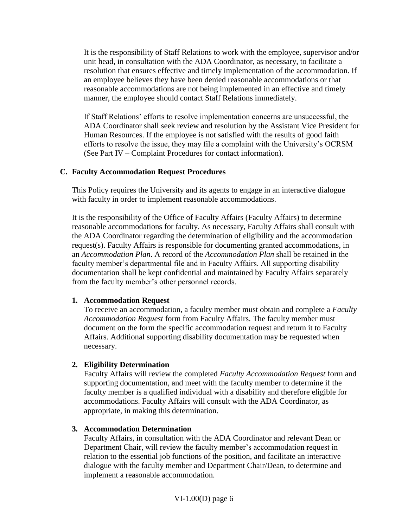It is the responsibility of Staff Relations to work with the employee, supervisor and/or unit head, in consultation with the ADA Coordinator, as necessary, to facilitate a resolution that ensures effective and timely implementation of the accommodation. If an employee believes they have been denied reasonable accommodations or that reasonable accommodations are not being implemented in an effective and timely manner, the employee should contact Staff Relations immediately.

If Staff Relations' efforts to resolve implementation concerns are unsuccessful, the ADA Coordinator shall seek review and resolution by the Assistant Vice President for Human Resources. If the employee is not satisfied with the results of good faith efforts to resolve the issue, they may file a complaint with the University's OCRSM (See Part IV – Complaint Procedures for contact information).

### **C. Faculty Accommodation Request Procedures**

This Policy requires the University and its agents to engage in an interactive dialogue with faculty in order to implement reasonable accommodations.

It is the responsibility of the Office of Faculty Affairs (Faculty Affairs) to determine reasonable accommodations for faculty. As necessary, Faculty Affairs shall consult with the ADA Coordinator regarding the determination of eligibility and the accommodation request(s). Faculty Affairs is responsible for documenting granted accommodations, in an *Accommodation Plan*. A record of the *Accommodation Plan* shall be retained in the faculty member's departmental file and in Faculty Affairs. All supporting disability documentation shall be kept confidential and maintained by Faculty Affairs separately from the faculty member's other personnel records.

### **1. Accommodation Request**

To receive an accommodation, a faculty member must obtain and complete a *Faculty Accommodation Request* form from Faculty Affairs. The faculty member must document on the form the specific accommodation request and return it to Faculty Affairs. Additional supporting disability documentation may be requested when necessary.

# **2. Eligibility Determination**

Faculty Affairs will review the completed *Faculty Accommodation Request* form and supporting documentation, and meet with the faculty member to determine if the faculty member is a qualified individual with a disability and therefore eligible for accommodations. Faculty Affairs will consult with the ADA Coordinator, as appropriate, in making this determination.

### **3. Accommodation Determination**

Faculty Affairs, in consultation with the ADA Coordinator and relevant Dean or Department Chair, will review the faculty member's accommodation request in relation to the essential job functions of the position, and facilitate an interactive dialogue with the faculty member and Department Chair/Dean, to determine and implement a reasonable accommodation.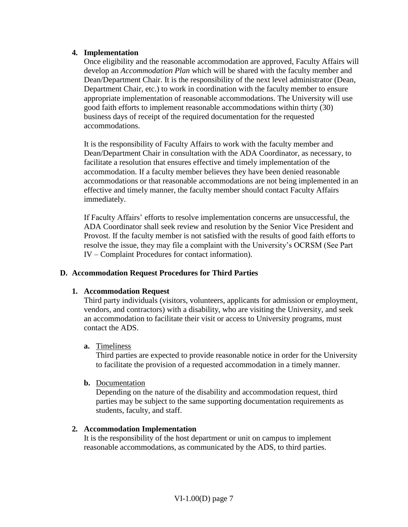#### **4. Implementation**

Once eligibility and the reasonable accommodation are approved, Faculty Affairs will develop an *Accommodation Plan* which will be shared with the faculty member and Dean/Department Chair. It is the responsibility of the next level administrator (Dean, Department Chair, etc.) to work in coordination with the faculty member to ensure appropriate implementation of reasonable accommodations. The University will use good faith efforts to implement reasonable accommodations within thirty (30) business days of receipt of the required documentation for the requested accommodations.

It is the responsibility of Faculty Affairs to work with the faculty member and Dean/Department Chair in consultation with the ADA Coordinator, as necessary, to facilitate a resolution that ensures effective and timely implementation of the accommodation. If a faculty member believes they have been denied reasonable accommodations or that reasonable accommodations are not being implemented in an effective and timely manner, the faculty member should contact Faculty Affairs immediately.

If Faculty Affairs' efforts to resolve implementation concerns are unsuccessful, the ADA Coordinator shall seek review and resolution by the Senior Vice President and Provost. If the faculty member is not satisfied with the results of good faith efforts to resolve the issue, they may file a complaint with the University's OCRSM (See Part IV – Complaint Procedures for contact information).

### **D. Accommodation Request Procedures for Third Parties**

#### **1. Accommodation Request**

Third party individuals (visitors, volunteers, applicants for admission or employment, vendors, and contractors) with a disability, who are visiting the University, and seek an accommodation to facilitate their visit or access to University programs, must contact the ADS.

#### **a.** Timeliness

Third parties are expected to provide reasonable notice in order for the University to facilitate the provision of a requested accommodation in a timely manner.

#### **b.** Documentation

Depending on the nature of the disability and accommodation request, third parties may be subject to the same supporting documentation requirements as students, faculty, and staff.

#### **2. Accommodation Implementation**

It is the responsibility of the host department or unit on campus to implement reasonable accommodations, as communicated by the ADS, to third parties.